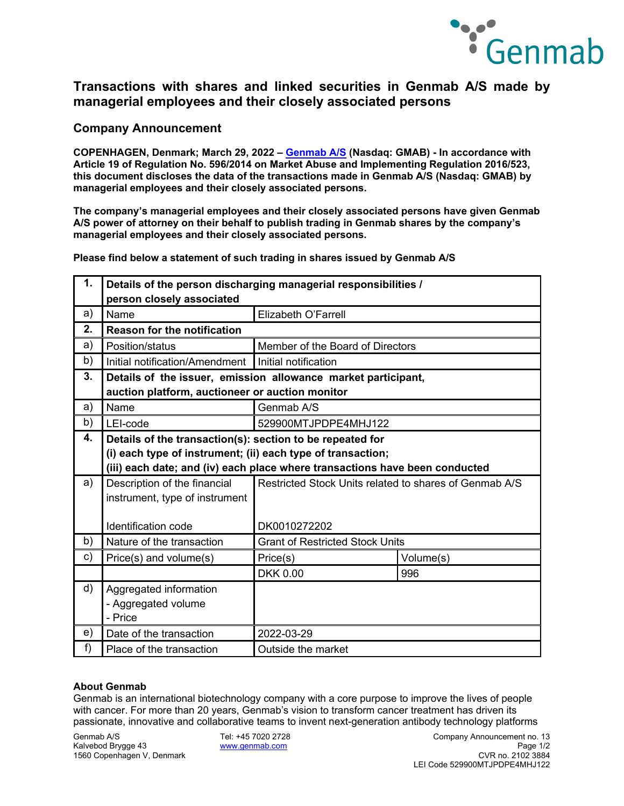

# **Transactions with shares and linked securities in Genmab A/S made by managerial employees and their closely associated persons**

### **Company Announcement**

**COPENHAGEN, Denmark; March 29, 2022 – [Genmab A/S](https://www.genmab.com/) (Nasdaq: GMAB) - In accordance with Article 19 of Regulation No. 596/2014 on Market Abuse and Implementing Regulation 2016/523, this document discloses the data of the transactions made in Genmab A/S (Nasdaq: GMAB) by managerial employees and their closely associated persons.**

**The company's managerial employees and their closely associated persons have given Genmab A/S power of attorney on their behalf to publish trading in Genmab shares by the company's managerial employees and their closely associated persons.**

**Please find below a statement of such trading in shares issued by Genmab A/S**

| 1. | Details of the person discharging managerial responsibilities /<br>person closely associated |                                                                             |           |  |
|----|----------------------------------------------------------------------------------------------|-----------------------------------------------------------------------------|-----------|--|
| a) | Name                                                                                         | Elizabeth O'Farrell                                                         |           |  |
| 2. | <b>Reason for the notification</b>                                                           |                                                                             |           |  |
| a) | Position/status                                                                              | Member of the Board of Directors                                            |           |  |
| b) | Initial notification/Amendment                                                               | Initial notification                                                        |           |  |
| 3. | Details of the issuer, emission allowance market participant,                                |                                                                             |           |  |
|    |                                                                                              | auction platform, auctioneer or auction monitor                             |           |  |
| a) | Name                                                                                         | Genmab A/S                                                                  |           |  |
| b) | LEI-code                                                                                     | 529900MTJPDPE4MHJ122                                                        |           |  |
| 4. |                                                                                              | Details of the transaction(s): section to be repeated for                   |           |  |
|    | (i) each type of instrument; (ii) each type of transaction;                                  |                                                                             |           |  |
|    |                                                                                              | (iii) each date; and (iv) each place where transactions have been conducted |           |  |
| a) | Description of the financial                                                                 | Restricted Stock Units related to shares of Genmab A/S                      |           |  |
|    | instrument, type of instrument                                                               |                                                                             |           |  |
|    |                                                                                              |                                                                             |           |  |
|    | Identification code                                                                          | DK0010272202                                                                |           |  |
| b) | Nature of the transaction                                                                    | <b>Grant of Restricted Stock Units</b>                                      |           |  |
| c) | Price(s) and volume(s)                                                                       | Price(s)                                                                    | Volume(s) |  |
|    |                                                                                              | <b>DKK 0.00</b>                                                             | 996       |  |
| d) | Aggregated information                                                                       |                                                                             |           |  |
|    | - Aggregated volume                                                                          |                                                                             |           |  |
|    | - Price                                                                                      |                                                                             |           |  |
| e) | Date of the transaction                                                                      | 2022-03-29                                                                  |           |  |
| f) | Place of the transaction                                                                     | Outside the market                                                          |           |  |

### **About Genmab**

Genmab is an international biotechnology company with a core purpose to improve the lives of people with cancer. For more than 20 years, Genmab's vision to transform cancer treatment has driven its passionate, innovative and collaborative teams to invent next-generation antibody technology platforms

1560 Copenhagen V, Denmark

Genmab A/S Tel: +45 7020 2728 Company Announcement no. 13 Kalvebod Brygge 43 [www.genmab.com](http://www.genmab.com/) Page 1/2 LEI Code 529900MTJPDPE4MHJ122